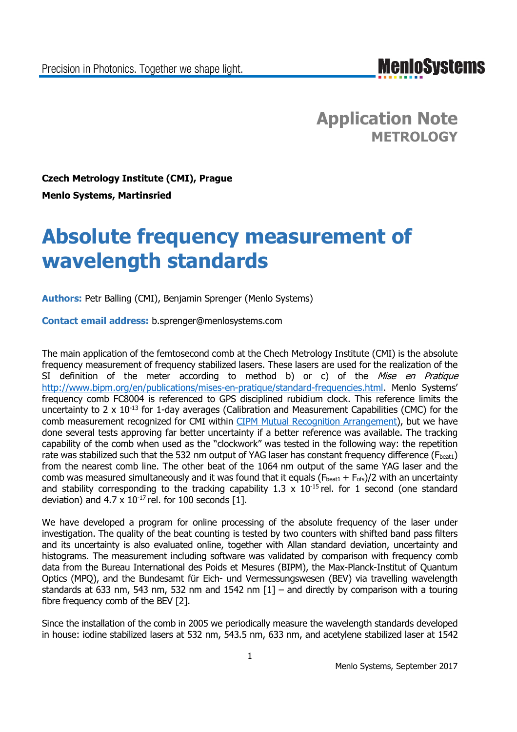**Application Note METROLOGY**

**Czech Metrology Institute (CMI), Prague Menlo Systems, Martinsried**

# **Absolute frequency measurement of wavelength standards**

**Authors:** Petr Balling (CMI), Benjamin Sprenger (Menlo Systems)

**Contact email address:** b.sprenger@menlosystems.com

The main application of the femtosecond comb at the Chech Metrology Institute (CMI) is the absolute frequency measurement of frequency stabilized lasers. These lasers are used for the realization of the SI definition of the meter according to method b) or c) of the Mise en Pratique http://www.bipm.org/en/publications/mises-en-pratique/standard-frequencies.html. Menlo Systems' frequency comb FC8004 is referenced to GPS disciplined rubidium clock. This reference limits the uncertainty to 2  $\times$  10<sup>-13</sup> for 1-day averages (Calibration and Measurement Capabilities (CMC) for the comb measurement recognized for CMI within CIPM Mutual Recognition Arrangement), but we have done several tests approving far better uncertainty if a better reference was available. The tracking capability of the comb when used as the "clockwork" was tested in the following way: the repetition rate was stabilized such that the 532 nm output of YAG laser has constant frequency difference ( $F<sub>heat1</sub>$ ) from the nearest comb line. The other beat of the 1064 nm output of the same YAG laser and the comb was measured simultaneously and it was found that it equals ( $F_{\text{beat1}} + F_{\text{ofs}}$ )/2 with an uncertainty and stability corresponding to the tracking capability 1.3 x  $10^{-15}$  rel. for 1 second (one standard deviation) and  $4.7 \times 10^{-17}$  rel. for 100 seconds [1].

We have developed a program for online processing of the absolute frequency of the laser under investigation. The quality of the beat counting is tested by two counters with shifted band pass filters and its uncertainty is also evaluated online, together with Allan standard deviation, uncertainty and histograms. The measurement including software was validated by comparison with frequency comb data from the Bureau International des Poids et Mesures (BIPM), the Max-Planck-Institut of Quantum Optics (MPQ), and the Bundesamt für Eich- und Vermessungswesen (BEV) via travelling wavelength standards at 633 nm, 543 nm, 532 nm and 1542 nm [1] – and directly by comparison with a touring fibre frequency comb of the BEV [2].

Since the installation of the comb in 2005 we periodically measure the wavelength standards developed in house: iodine stabilized lasers at 532 nm, 543.5 nm, 633 nm, and acetylene stabilized laser at 1542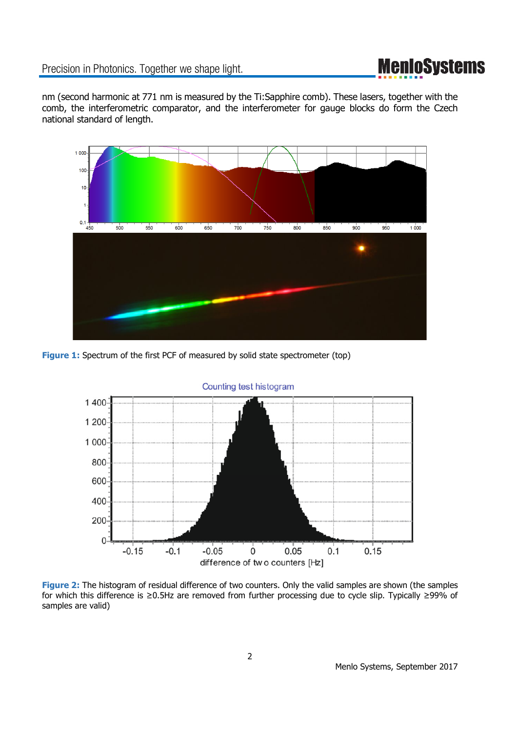## **MenIoSystems**

nm (second harmonic at 771 nm is measured by the Ti:Sapphire comb). These lasers, together with the comb, the interferometric comparator, and the interferometer for gauge blocks do form the Czech national standard of length.



**Figure 1:** Spectrum of the first PCF of measured by solid state spectrometer (top)



**Figure 2:** The histogram of residual difference of two counters. Only the valid samples are shown (the samples for which this difference is ≥0.5Hz are removed from further processing due to cycle slip. Typically ≥99% of samples are valid)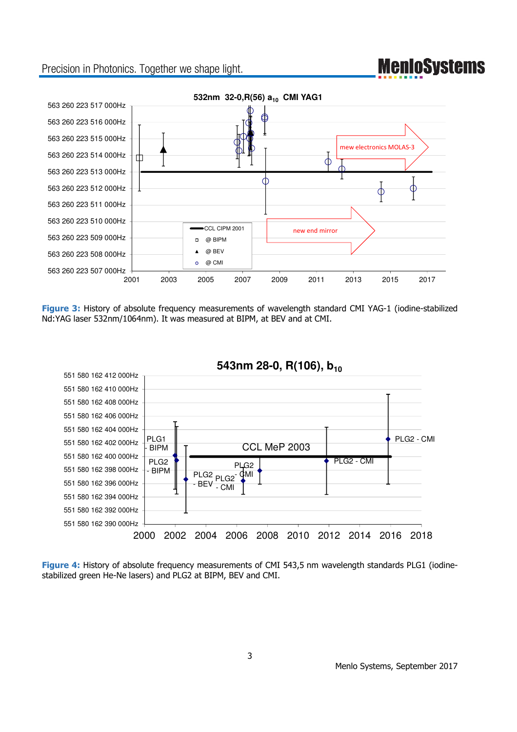## **MenIoSystems**

### Precision in Photonics. Together we shape light.



**Figure 3:** History of absolute frequency measurements of wavelength standard CMI YAG-1 (iodine-stabilized Nd:YAG laser 532nm/1064nm). It was measured at BIPM, at BEV and at CMI.



### **543nm 28-0, R(106), b10**

**Figure 4:** History of absolute frequency measurements of CMI 543,5 nm wavelength standards PLG1 (iodinestabilized green He-Ne lasers) and PLG2 at BIPM, BEV and CMI.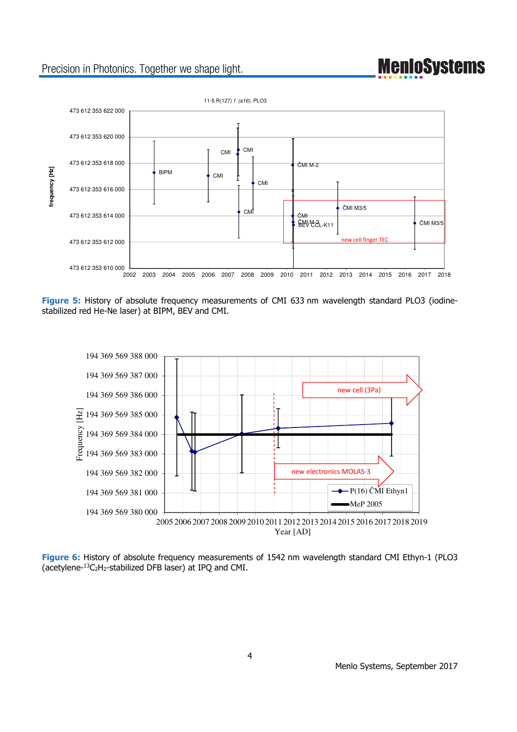## Precision in Photonics. Together we shape light.



**Figure 5:** History of absolute frequency measurements of CMI 633 nm wavelength standard PLO3 (iodinestabilized red He-Ne laser) at BIPM, BEV and CMI.



**Figure 6:** History of absolute frequency measurements of 1542 nm wavelength standard CMI Ethyn-1 (PLO3 (acetylene- $^{13}C_2H_2$ -stabilized DFB laser) at IPQ and CMI.

**MenIoSystems**